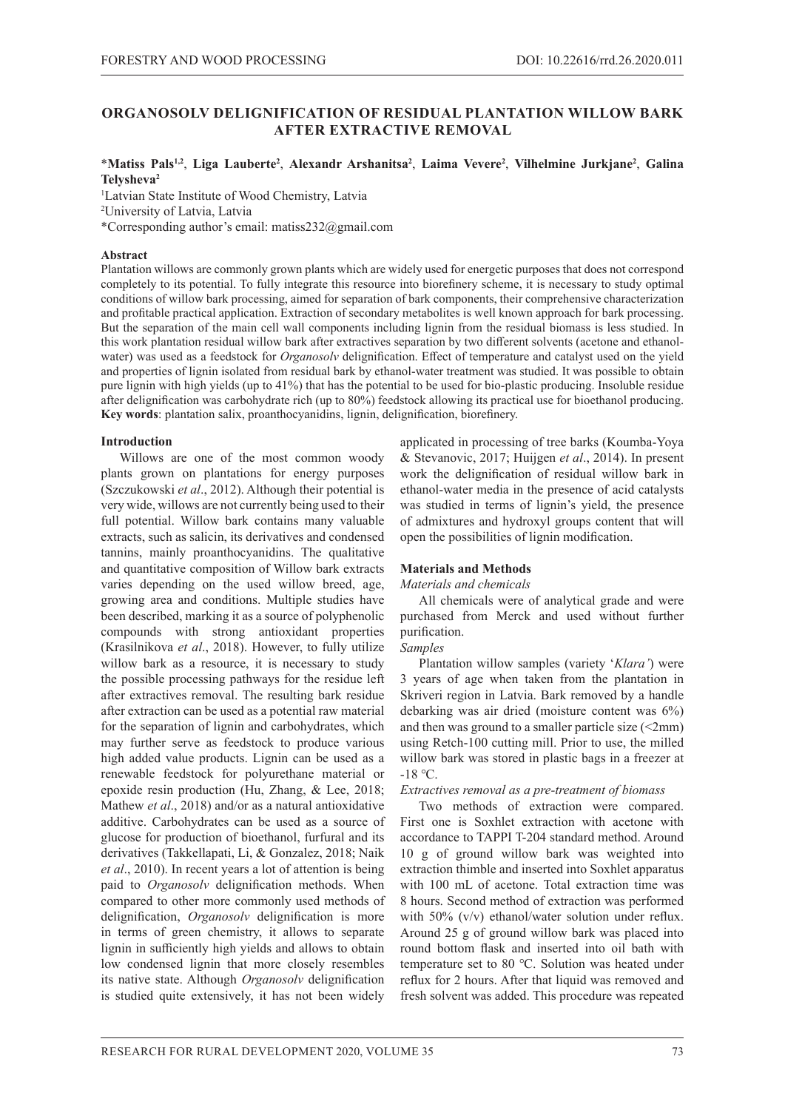# **ORGANOSOLV DELIGNIFICATION OF RESIDUAL PLANTATION WILLOW BARK AFTER EXTRACTIVE REMOVAL**

## \***Matiss Pals1,2**, **Liga Lauberte2** , **Alexandr Arshanitsa2** , **Laima Vevere2** , **Vilhelmine Jurkjane2** , **Galina Telysheva2**

<sup>1</sup>Latvian State Institute of Wood Chemistry, Latvia 2 University of Latvia, Latvia \*Corresponding author's email: matiss232@gmail.com

### **Abstract**

Plantation willows are commonly grown plants which are widely used for energetic purposes that does not correspond completely to its potential. To fully integrate this resource into biorefinery scheme, it is necessary to study optimal conditions of willow bark processing, aimed for separation of bark components, their comprehensive characterization and profitable practical application. Extraction of secondary metabolites is well known approach for bark processing. But the separation of the main cell wall components including lignin from the residual biomass is less studied. In this work plantation residual willow bark after extractives separation by two different solvents (acetone and ethanolwater) was used as a feedstock for *Organosolv* delignification. Effect of temperature and catalyst used on the yield and properties of lignin isolated from residual bark by ethanol-water treatment was studied. It was possible to obtain pure lignin with high yields (up to 41%) that has the potential to be used for bio-plastic producing. Insoluble residue after delignification was carbohydrate rich (up to 80%) feedstock allowing its practical use for bioethanol producing. **Key words**: plantation salix, proanthocyanidins, lignin, delignification, biorefinery.

## **Introduction**

Willows are one of the most common woody plants grown on plantations for energy purposes (Szczukowski *et al*., 2012). Although their potential is very wide, willows are not currently being used to their full potential. Willow bark contains many valuable extracts, such as salicin, its derivatives and condensed tannins, mainly proanthocyanidins. The qualitative and quantitative composition of Willow bark extracts varies depending on the used willow breed, age, growing area and conditions. Multiple studies have been described, marking it as a source of polyphenolic compounds with strong antioxidant properties (Krasilnikova *et al*., 2018). However, to fully utilize willow bark as a resource, it is necessary to study the possible processing pathways for the residue left after extractives removal. The resulting bark residue after extraction can be used as a potential raw material for the separation of lignin and carbohydrates, which may further serve as feedstock to produce various high added value products. Lignin can be used as a renewable feedstock for polyurethane material or epoxide resin production (Hu, Zhang, & Lee, 2018; Mathew *et al*., 2018) and/or as a natural antioxidative additive. Carbohydrates can be used as a source of glucose for production of bioethanol, furfural and its derivatives (Takkellapati, Li, & Gonzalez, 2018; Naik *et al*., 2010). In recent years a lot of attention is being paid to *Organosolv* delignification methods. When compared to other more commonly used methods of delignification, *Organosolv* delignification is more in terms of green chemistry, it allows to separate lignin in sufficiently high yields and allows to obtain low condensed lignin that more closely resembles its native state. Although *Organosolv* delignification is studied quite extensively, it has not been widely

applicated in processing of tree barks (Koumba-Yoya & Stevanovic, 2017; Huijgen *et al*., 2014). In present work the delignification of residual willow bark in ethanol-water media in the presence of acid catalysts was studied in terms of lignin's yield, the presence of admixtures and hydroxyl groups content that will open the possibilities of lignin modification.

## **Materials and Methods**

## *Materials and chemicals*

All chemicals were of analytical grade and were purchased from Merck and used without further purification.

## *Samples*

Plantation willow samples (variety '*Klara'*) were 3 years of age when taken from the plantation in Skriveri region in Latvia. Bark removed by a handle debarking was air dried (moisture content was 6%) and then was ground to a smaller particle size (<2mm) using Retch-100 cutting mill. Prior to use, the milled willow bark was stored in plastic bags in a freezer at -18 ℃.

## *Extractives removal as a pre-treatment of biomass*

Two methods of extraction were compared. First one is Soxhlet extraction with acetone with accordance to TAPPI T-204 standard method. Around 10 g of ground willow bark was weighted into extraction thimble and inserted into Soxhlet apparatus with 100 mL of acetone. Total extraction time was 8 hours. Second method of extraction was performed with 50% (v/v) ethanol/water solution under reflux. Around 25 g of ground willow bark was placed into round bottom flask and inserted into oil bath with temperature set to 80 ℃. Solution was heated under reflux for 2 hours. After that liquid was removed and fresh solvent was added. This procedure was repeated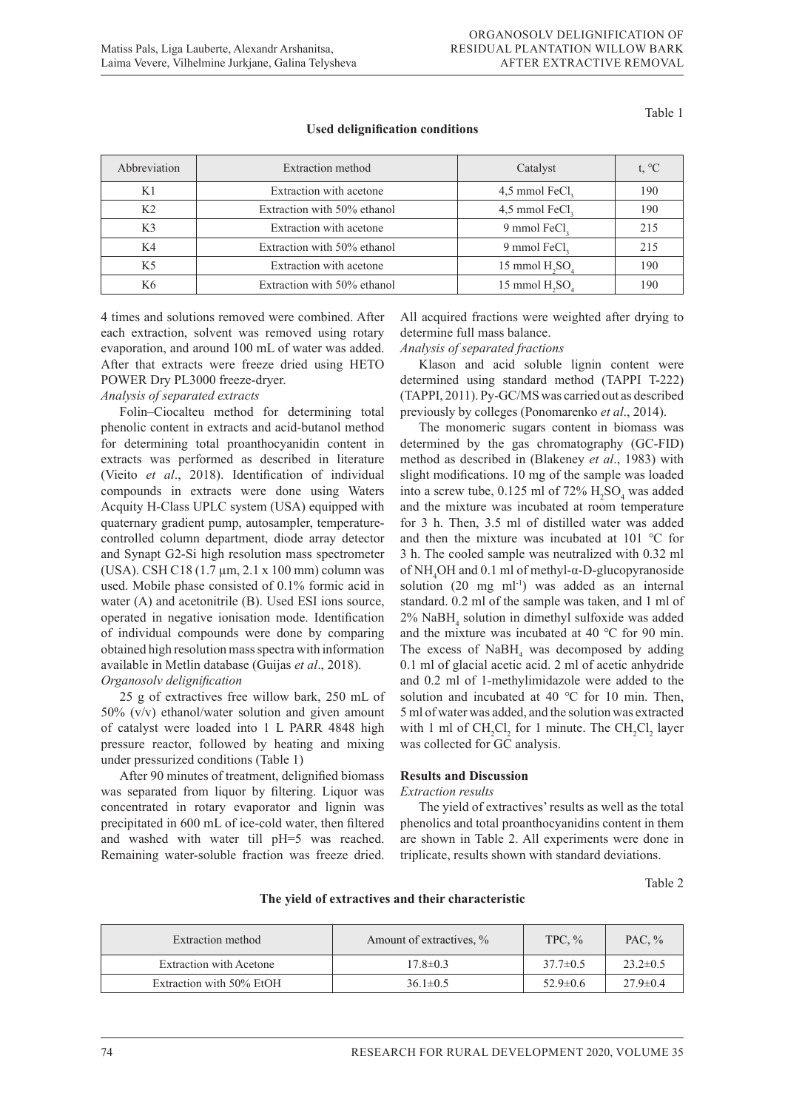Table 1

**Used delignification conditions**

| Abbreviation   | Extraction method           | Catalyst                  | t, $^{\circ}C$ |
|----------------|-----------------------------|---------------------------|----------------|
| K1             | Extraction with acetone     | 4,5 mmol FeCl,            | 190            |
| K <sub>2</sub> | Extraction with 50% ethanol | 4,5 mmol FeCl,            | 190            |
| K3             | Extraction with acetone     | 9 mmol FeCl,              | 215            |
| K4             | Extraction with 50% ethanol | 9 mmol FeCl,              | 215            |
| K5             | Extraction with acetone     | 15 mmol $H, SO$           | 190            |
| K6             | Extraction with 50% ethanol | 15 mmol H <sub>2</sub> SO | 190            |

4 times and solutions removed were combined. After each extraction, solvent was removed using rotary evaporation, and around 100 mL of water was added. After that extracts were freeze dried using HETO POWER Dry PL3000 freeze-dryer.

## *Analysis of separated extracts*

Folin–Ciocalteu method for determining total phenolic content in extracts and acid-butanol method for determining total proanthocyanidin content in extracts was performed as described in literature (Vieito *et al*., 2018). Identification of individual compounds in extracts were done using Waters Acquity H-Class UPLC system (USA) equipped with quaternary gradient pump, autosampler, temperaturecontrolled column department, diode array detector and Synapt G2-Si high resolution mass spectrometer (USA). CSH C18 (1.7 µm, 2.1 x 100 mm) column was used. Mobile phase consisted of 0.1% formic acid in water (A) and acetonitrile (B). Used ESI ions source, operated in negative ionisation mode. Identification of individual compounds were done by comparing obtained high resolution mass spectra with information available in Metlin database (Guijas *et al*., 2018). *Organosolv delignification*

25 g of extractives free willow bark, 250 mL of 50% (v/v) ethanol/water solution and given amount of catalyst were loaded into 1 L PARR 4848 high pressure reactor, followed by heating and mixing under pressurized conditions (Table 1)

After 90 minutes of treatment, delignified biomass was separated from liquor by filtering. Liquor was concentrated in rotary evaporator and lignin was precipitated in 600 mL of ice-cold water, then filtered and washed with water till pH=5 was reached. Remaining water-soluble fraction was freeze dried.

All acquired fractions were weighted after drying to determine full mass balance.

### *Analysis of separated fractions*

Klason and acid soluble lignin content were determined using standard method (TAPPI T-222) (TAPPI, 2011). Py-GC/MS was carried out as described previously by colleges (Ponomarenko *et al*., 2014).

The monomeric sugars content in biomass was determined by the gas chromatography (GC-FID) method as described in (Blakeney *et al*., 1983) with slight modifications. 10 mg of the sample was loaded into a screw tube,  $0.125$  ml of  $72\%$   $H_2SO_4$  was added and the mixture was incubated at room temperature for 3 h. Then, 3.5 ml of distilled water was added and then the mixture was incubated at 101 ℃ for 3 h. The cooled sample was neutralized with 0.32 ml of NH4 OH and 0.1 ml of methyl-α-D-glucopyranoside solution (20 mg ml<sup>-1</sup>) was added as an internal standard. 0.2 ml of the sample was taken, and 1 ml of 2% NaBH4 solution in dimethyl sulfoxide was added and the mixture was incubated at 40 ℃ for 90 min. The excess of  $N$ a $BH$ <sub>4</sub> was decomposed by adding 0.1 ml of glacial acetic acid. 2 ml of acetic anhydride and 0.2 ml of 1-methylimidazole were added to the solution and incubated at 40 ℃ for 10 min. Then, 5 ml of water was added, and the solution was extracted with 1 ml of  $CH_2Cl_2$  for 1 minute. The  $CH_2Cl_2$  layer was collected for GC analysis.

#### **Results and Discussion**

#### *Extraction results*

The yield of extractives' results as well as the total phenolics and total proanthocyanidins content in them are shown in Table 2. All experiments were done in triplicate, results shown with standard deviations.

Table 2

| Extraction method        | Amount of extractives, % | TPC, $\%$      | PAC. $%$       |
|--------------------------|--------------------------|----------------|----------------|
| Extraction with Acetone  | $17.8 \pm 0.3$           | $37.7 \pm 0.5$ | $23.2 \pm 0.5$ |
| Extraction with 50% EtOH | $36.1 \pm 0.5$           | $52.9 \pm 0.6$ | $27.9 \pm 0.4$ |

**The yield of extractives and their characteristic**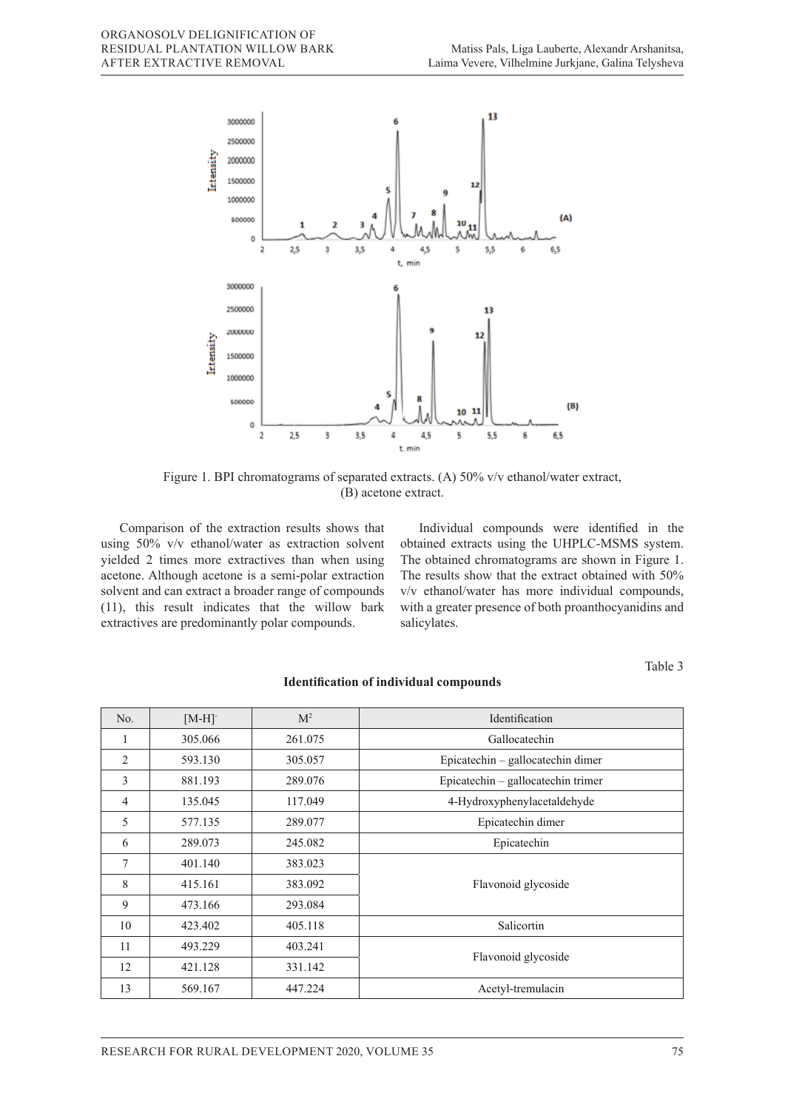

Figure 1. BPI chromatograms of separated extracts. (A) 50% v/v ethanol/water extract, (B) acetone extract.

Comparison of the extraction results shows that using 50% v/v ethanol/water as extraction solvent yielded 2 times more extractives than when using acetone. Although acetone is a semi-polar extraction solvent and can extract a broader range of compounds (11), this result indicates that the willow bark extractives are predominantly polar compounds.

Individual compounds were identified in the obtained extracts using the UHPLC-MSMS system. The obtained chromatograms are shown in Figure 1. The results show that the extract obtained with 50% v/v ethanol/water has more individual compounds, with a greater presence of both proanthocyanidins and salicylates.

Table 3

| No. | $[M-H]$ <sup>-</sup> | M <sup>2</sup> | Identification                     |  |
|-----|----------------------|----------------|------------------------------------|--|
| 1   | 305.066              | 261.075        | Gallocatechin                      |  |
| 2   | 593.130              | 305.057        | Epicatechin – gallocatechin dimer  |  |
| 3   | 881.193              | 289.076        | Epicatechin - gallocatechin trimer |  |
| 4   | 135.045              | 117.049        | 4-Hydroxyphenylacetaldehyde        |  |
| 5   | 577.135              | 289.077        | Epicatechin dimer                  |  |
| 6   | 289.073              | 245.082        | Epicatechin                        |  |
| 7   | 401.140              | 383.023        | Flavonoid glycoside                |  |
| 8   | 415.161              | 383.092        |                                    |  |
| 9   | 473.166              | 293.084        |                                    |  |
| 10  | 423.402              | 405.118        | Salicortin                         |  |
| 11  | 493.229              | 403.241        | Flavonoid glycoside                |  |
| 12  | 421.128              | 331.142        |                                    |  |
| 13  | 569.167              | 447.224        | Acetyl-tremulacin                  |  |

### **Identification of individual compounds**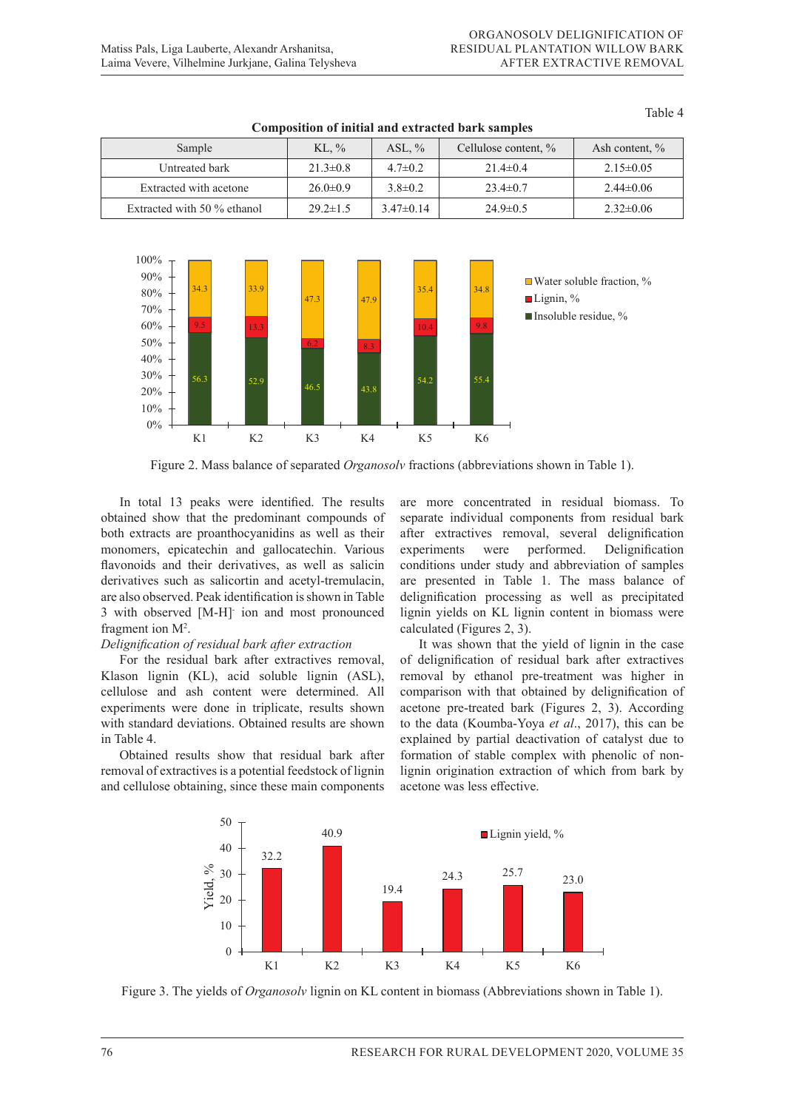| Sample                      | KL, $\%$       | ASL, $\%$     | Cellulose content, % | Ash content, %  |  |  |  |
|-----------------------------|----------------|---------------|----------------------|-----------------|--|--|--|
| Untreated bark              | $21.3 \pm 0.8$ | $4.7 \pm 0.2$ | $21.4 \pm 0.4$       | $2.15 \pm 0.05$ |  |  |  |
| Extracted with acetone      | $26.0 \pm 0.9$ | $3.8 \pm 0.2$ | $23.4 \pm 0.7$       | $2.44 \pm 0.06$ |  |  |  |
| Extracted with 50 % ethanol | $29.2 \pm 1.5$ | $3.47\pm0.14$ | $24.9 \pm 0.5$       | $2.32 \pm 0.06$ |  |  |  |

# **Composition of initial and extracted bark samples**



Figure 2. Mass balance of separated *Organosolv* fractions (abbreviations shown in Table 1).

In total 13 peaks were identified. The results obtained show that the predominant compounds of separate individual components from residual ba both extracts are proanthocyanidins as well as their after extractives removal, several delignification of the stractive stable from bark and the stractive stractives removal, several delignification board character are produced yamams as went as then<br>monomers, epicatechin and gallocatechin. Various flavonoids and their derivatives, as well as salicin derivatives such as salicortin and acetyl-tremulacin, are also observed. Peak identification is shown in Table 3 with observed [M-H] ion and most pronounced  $5^{\circ}$  with boselved fragment ion  $M^2$ . *S* with observed [M-H] fon and most pronounced<br>fragment ion M<sup>2</sup>.<br>Delignification of residual bark after extraction In total 13 peaks were identified. The results are more concentrated in residual biomass. To 11  $\frac{100}{1}$ 

For the residual bark after extractives removal, Klason lignin (KL), acid soluble lignin (ASL), cellulose and ash content were determined. All experiments were done in triplicate, results shown acetone pre-treated bark (Figures 2, 3). *P* seeming 1) with standard deviations. Obtained results are shown in Table 4.  $\frac{1}{2}$   $\frac{1}{2}$   $\frac{1}{2}$   $\frac{1}{2}$   $\frac{1}{2}$   $\frac{1}{2}$   $\frac{1}{2}$   $\frac{1}{2}$   $\frac{1}{2}$   $\frac{1}{2}$   $\frac{1}{2}$   $\frac{1}{2}$   $\frac{1}{2}$   $\frac{1}{2}$   $\frac{1}{2}$   $\frac{1}{2}$   $\frac{1}{2}$   $\frac{1}{2}$   $\frac{1}{2}$   $\frac{1}{2}$   $\frac{1}{2}$   $\frac{1}{2}$ 

Obtained results show that residual bark after Obtained Testins show that residual bark after Tormation of stable complex with phenone of homogeneous removal of extractives is a potential feedstock of lignin lignin origination extraction of which from bark and cellulose obtaining, since these main components acetone was less effective. removal of extractives is a potential reedstock of fight the lignin origination extraction of which from park

separate individual components from residual bark after extractives removal, several delignification experiments were performed. Delignification conditions under study and abbreviation of samples are presented in Table 1. The mass balance of delignification processing as well as precipitated lignin yields on KL lignin content in biomass were  $r_{\text{sum}}$  referred on  $r_{\text{max}}$  and  $r_{\text{sum}}$  constants contained (Figures 2, 3).

It was shown that the yield of lignin in the case of delignification of residual bark after extractives removal by ethanol pre-treatment was higher in comparison with that obtained by delignification of iplicate, results shown acetone pre-treated bark (Figures 2, 3). According to the data (Koumba-Yoya *et al*., 2017), this can be in Table 4. explained by partial deactivation of catalyst due to formation of stable complex with phenolic of non-<br>Obtained results show that residual bark after formation of stable complex with phenolic of nonlignin origination extraction of which from bark by acetone was less effective. (Figures 2, 3). According to the data (Koumba-Yoya *et al*., 2017), this can be explained by partial deactivation of removal of extractives is a potential reedstock of ngmin eighth origination extraction of which from bark by



Figure 3. The yields of Organosolv lignin on KL content in biomass (Abbreviations shown in Table 1).

components into the liquor. At higher temperature (215 ℃) the yield of precipitated lignin is decreased, but the

Table 4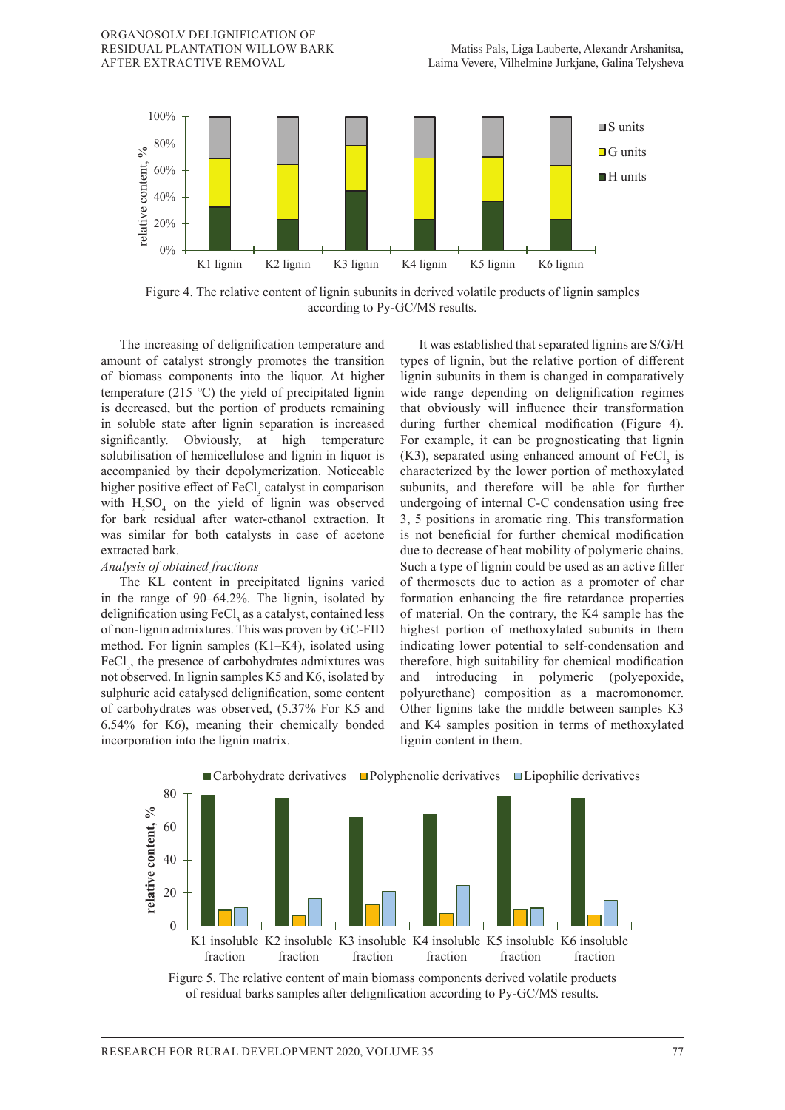

Figure 4. The relative content of lignin subunits in derived volatile products of lignin samples according to Py-GC/MS results.

amount of catalyst strongly promotes the transition of biomass components into the liquor. At higher temperature (215 °C) the yield of precipitated lignin is decreased, but the portion of products remaining in soluble state after lignin separation is increased significantly. Obviously, at high temperature solubilisation of hemicellulose and lignin in liquor is accompanied by their depolymerization. Noticeable higher positive effect of  $FeCl<sub>3</sub>$  catalyst in comparison with  $H_2SO_4$  on the yield of lignin was observed for bark residual after water-ethanol extraction. It was similar for both catalysts in case of acetone extracted bark. solutions attend by the lower portion of methoxylated by the lower portion of methoxylated accompanied by their depolymerization. Noticeable characterized by the lower portion of methoxylated I bout catalysts in case of accidite **relative content, %**

#### exuacied bark.<br>Analysis of obtained fractions 0<sub>D</sub>

in the range of 90–64.2%. The lignin, isolated by formation enhancing delignification using FeCl<sub>3</sub> as a catalyst, contained less of non-lignin admixtures. This was proven by GC-FID highest portion of methoxylated subunits in then of non-lignined admixtures. method. For lignin samples  $(K1-K4)$ , isolated using indicating lower potential to self-condensation and  $(K1-K4)$ , isolated using indicating lower potential to self-condensation and FeCl<sub>3</sub>, the presence of carbohydrates admixtures was therefore, high suitability for chemical modification  $F_{\text{F}}$ not observed. In lignin samples K5 and K6, isolated by and introducing in polymeric (polyepoxide sulphuric acid catalysed delignification, some content polyurethane) composition as a macromonome of carbohydrates was observed,  $(5.37\%$  For K5 and Other lignins take the middle between samples K 6.54% for K6), meaning their chemically bonded and K4 samples position in terms of methoxylated incorporation into the lignin matrix. Iignin content in them. rect<sub>1</sub>, the presence or carbohydrates admixtures was interested, ingli suitability for chemical modification  $\mathbf{u}$  $r$ e content content content content content content content content content content content content content content content content content content content content content content content content content content content

The increasing of delignification temperature and It was established that separated lignins are S/G/ The KL content in precipitated lignins varied of thermosets due to action as a promoter of ch It was established that separated lignins are S/G/H types of lignin, but the relative portion of different nents into the liquor. At higher lignin subunits in them is changed in comparatively wide range depending on delignification regimes that obviously will influence their transformation during further chemical modification (Figure 4). For example, it can be prognosticating that lignin  $(K3)$ , separated using enhanced amount of  $FeCl<sub>3</sub>$  is subunits, and therefore will be able for further undergoing of internal C-C condensation using free 3, 5 positions in aromatic ring. This transformation 5, 5 positions in aromatic ring. This dansformation Is not beneficial for further chemical modification<br>due to decrease of heat mobility of polymeric chains. Such a type of lignin could be used as an active filler of thermosets due to action as a promoter of char formation enhancing the fire retardance properties of material. On the contrary, the K4 sample has the highest portion of methoxylated subunits in them indicating lower potential to self-condensation and of carbohydrates admixtures was therefore, high suitability for chemical modification and introducing in polymeric (polyepoxide, polyurethane) composition as a macromonomer. Other lignins take the middle between samples K3 and K4 samples position in terms of methoxylated lignin content in them.  $\frac{1}{1}$  to dect iai iui iuitur<br>C1 iui iui r near n  $\frac{1}{16}$  chemical 1 y of polymeric cl



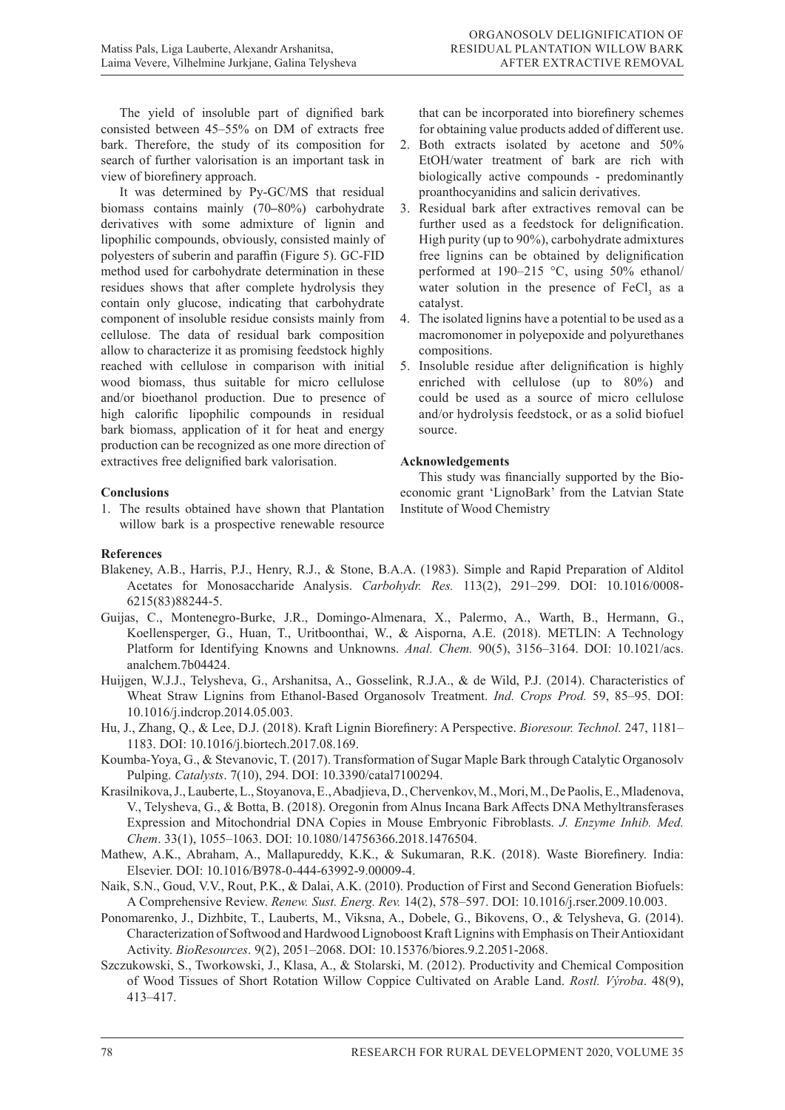The yield of insoluble part of dignified bark consisted between 45–55% on DM of extracts free bark. Therefore, the study of its composition for search of further valorisation is an important task in view of biorefinery approach.

It was determined by Py-GC/MS that residual biomass contains mainly (70**–**80%) carbohydrate derivatives with some admixture of lignin and lipophilic compounds, obviously, consisted mainly of polyesters of suberin and paraffin (Figure 5). GC-FID method used for carbohydrate determination in these residues shows that after complete hydrolysis they contain only glucose, indicating that carbohydrate component of insoluble residue consists mainly from cellulose. The data of residual bark composition allow to characterize it as promising feedstock highly reached with cellulose in comparison with initial wood biomass, thus suitable for micro cellulose and/or bioethanol production. Due to presence of high calorific lipophilic compounds in residual bark biomass, application of it for heat and energy production can be recognized as one more direction of extractives free delignified bark valorisation.

## **Conclusions**

1. The results obtained have shown that Plantation willow bark is a prospective renewable resource

that can be incorporated into biorefinery schemes for obtaining value products added of different use.

- 2. Both extracts isolated by acetone and 50% EtOH/water treatment of bark are rich with biologically active compounds - predominantly proanthocyanidins and salicin derivatives.
- 3. Residual bark after extractives removal can be further used as a feedstock for delignification. High purity (up to 90%), carbohydrate admixtures free lignins can be obtained by delignification performed at 190–215 °C, using 50% ethanol/ water solution in the presence of  $FeCl<sub>3</sub>$  as a catalyst.
- 4. The isolated lignins have a potential to be used as a macromonomer in polyepoxide and polyurethanes compositions.
- 5. Insoluble residue after delignification is highly enriched with cellulose (up to 80%) and could be used as a source of micro cellulose and/or hydrolysis feedstock, or as a solid biofuel source.

## **Acknowledgements**

This study was financially supported by the Bioeconomic grant 'LignoBark' from the Latvian State Institute of Wood Chemistry

# **References**

- Blakeney, A.B., Harris, P.J., Henry, R.J., & Stone, B.A.A. (1983). Simple and Rapid Preparation of Alditol Acetates for Monosaccharide Analysis. *Carbohydr. Res.* 113(2), 291–299. DOI: 10.1016/0008- 6215(83)88244-5.
- Guijas, C., Montenegro-Burke, J.R., Domingo-Almenara, X., Palermo, A., Warth, B., Hermann, G., Koellensperger, G., Huan, T., Uritboonthai, W., & Aisporna, A.E. (2018). METLIN: A Technology Platform for Identifying Knowns and Unknowns. *Anal. Chem.* 90(5), 3156–3164. DOI: 10.1021/acs. analchem.7b04424.
- Huijgen, W.J.J., Telysheva, G., Arshanitsa, A., Gosselink, R.J.A., & de Wild, P.J. (2014). Characteristics of Wheat Straw Lignins from Ethanol-Based Organosolv Treatment. *Ind. Crops Prod.* 59, 85–95. DOI: 10.1016/j.indcrop.2014.05.003.
- Hu, J., Zhang, Q., & Lee, D.J. (2018). Kraft Lignin Biorefinery: A Perspective. *Bioresour. Technol.* 247, 1181– 1183. DOI: 10.1016/j.biortech.2017.08.169.
- Koumba-Yoya, G., & Stevanovic, T. (2017). Transformation of Sugar Maple Bark through Catalytic Organosolv Pulping. *Catalysts*. 7(10), 294. DOI: 10.3390/catal7100294.
- Krasilnikova, J., Lauberte, L., Stoyanova, E., Abadjieva, D., Chervenkov, M., Mori, M., De Paolis, E., Mladenova, V., Telysheva, G., & Botta, B. (2018). Oregonin from Alnus Incana Bark Affects DNA Methyltransferases Expression and Mitochondrial DNA Copies in Mouse Embryonic Fibroblasts. *J. Enzyme Inhib. Med. Chem*. 33(1), 1055–1063. DOI: 10.1080/14756366.2018.1476504.
- Mathew, A.K., Abraham, A., Mallapureddy, K.K., & Sukumaran, R.K. (2018). Waste Biorefinery. India: Elsevier. DOI: 10.1016/B978-0-444-63992-9.00009-4.
- Naik, S.N., Goud, V.V., Rout, P.K., & Dalai, A.K. (2010). Production of First and Second Generation Biofuels: A Comprehensive Review. *Renew. Sust. Energ. Rev.* 14(2), 578–597. DOI: 10.1016/j.rser.2009.10.003.
- Ponomarenko, J., Dizhbite, T., Lauberts, M., Viksna, A., Dobele, G., Bikovens, O., & Telysheva, G. (2014). Characterization of Softwood and Hardwood Lignoboost Kraft Lignins with Emphasis on Their Antioxidant Activity. *BioResources*. 9(2), 2051–2068. DOI: 10.15376/biores.9.2.2051-2068.
- Szczukowski, S., Tworkowski, J., Klasa, A., & Stolarski, M. (2012). Productivity and Chemical Composition of Wood Tissues of Short Rotation Willow Coppice Cultivated on Arable Land. *Rostl. Výroba*. 48(9), 413–417.